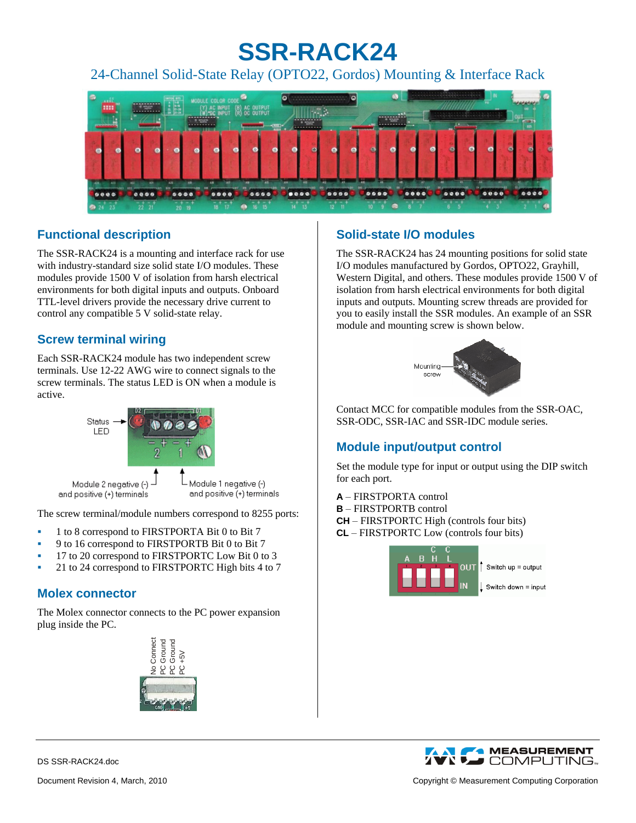# **SSR-RACK24**

24-Channel Solid-State Relay (OPTO22, Gordos) Mounting & Interface Rack



# **Functional description**

The SSR-RACK24 is a mounting and interface rack for use with industry-standard size solid state I/O modules. These modules provide 1500 V of isolation from harsh electrical environments for both digital inputs and outputs. Onboard TTL-level drivers provide the necessary drive current to control any compatible 5 V solid-state relay.

## **Screw terminal wiring**

Each SSR-RACK24 module has two independent screw terminals. Use 12-22 AWG wire to connect signals to the screw terminals. The status LED is ON when a module is active.



The screw terminal/module numbers correspond to 8255 ports:

- 1 to 8 correspond to FIRSTPORTA Bit 0 to Bit 7
- 9 to 16 correspond to FIRSTPORTB Bit 0 to Bit 7
- 17 to 20 correspond to FIRSTPORTC Low Bit 0 to 3
- 21 to 24 correspond to FIRSTPORTC High bits 4 to 7

# **Molex connector**

The Molex connector connects to the PC power expansion plug inside the PC.



# **Solid-state I/O modules**

The SSR-RACK24 has 24 mounting positions for solid state I/O modules manufactured by Gordos, OPTO22, Grayhill, Western Digital, and others. These modules provide 1500 V of isolation from harsh electrical environments for both digital inputs and outputs. Mounting screw threads are provided for you to easily install the SSR modules. An example of an SSR module and mounting screw is shown below.



Contact MCC for compatible modules from the SSR-OAC, SSR-ODC, SSR-IAC and SSR-IDC module series.

# **Module input/output control**

Set the module type for input or output using the DIP switch for each port.

- **A** FIRSTPORTA control
- **B** FIRSTPORTB control
- **CH** FIRSTPORTC High (controls four bits)
- **CL** FIRSTPORTC Low (controls four bits)





DS SSR-RACK24.doc

Document Revision 4, March, 2010 Copyright © Measurement Computing Corporation